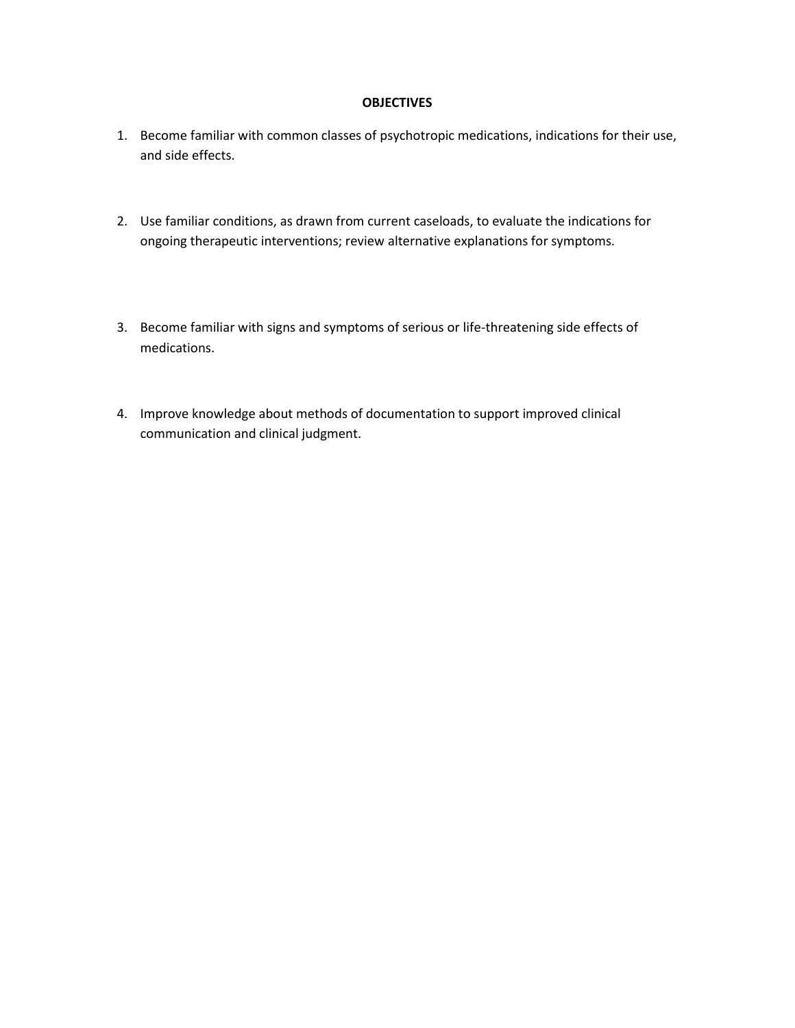#### **OBJECTIVES**

- 1. Become familiar with common classes of psychotropic medications, indications for their use, and side effects.
- 2. Use familiar conditions, as drawn from current caseloads, to evaluate the indications for ongoing therapeutic interventions; review alternative explanations for symptoms.
- 3. Become familiar with signs and symptoms of serious or life-threatening side effects of medications.
- 4. Improve knowledge about methods of documentation to support improved clinical communication and clinical judgment.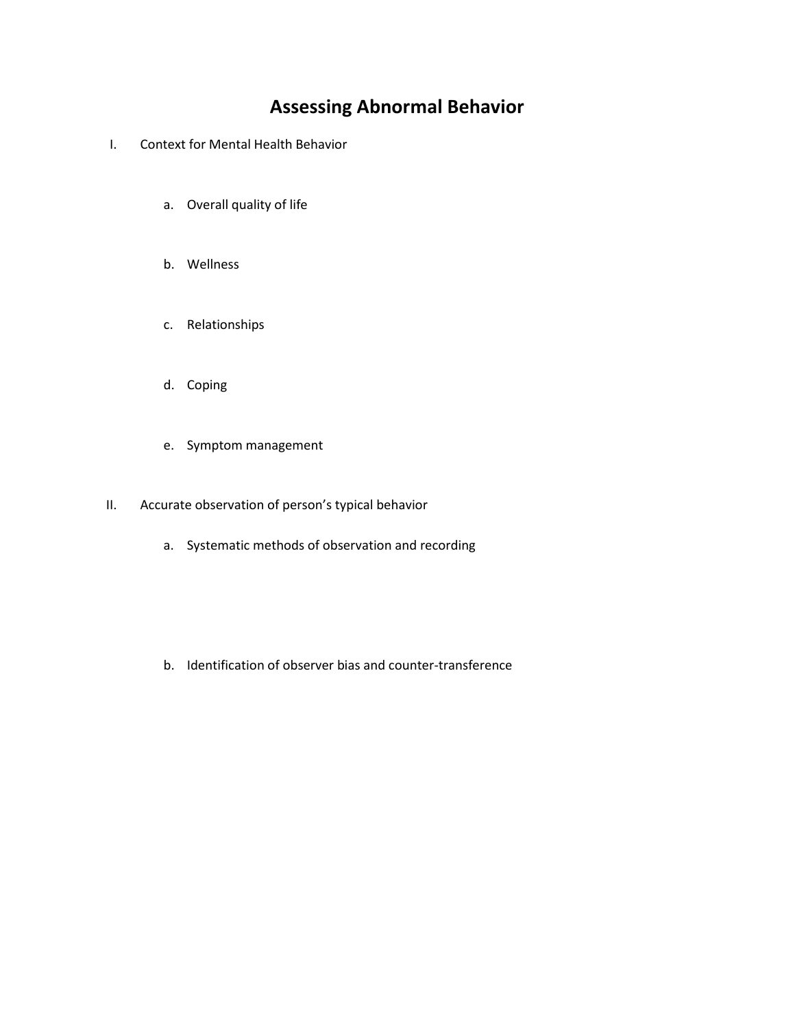# **Assessing Abnormal Behavior**

- I. Context for Mental Health Behavior
	- a. Overall quality of life
	- b. Wellness
	- c. Relationships
	- d. Coping
	- e. Symptom management
- II. Accurate observation of person's typical behavior
	- a. Systematic methods of observation and recording
	- b. Identification of observer bias and counter-transference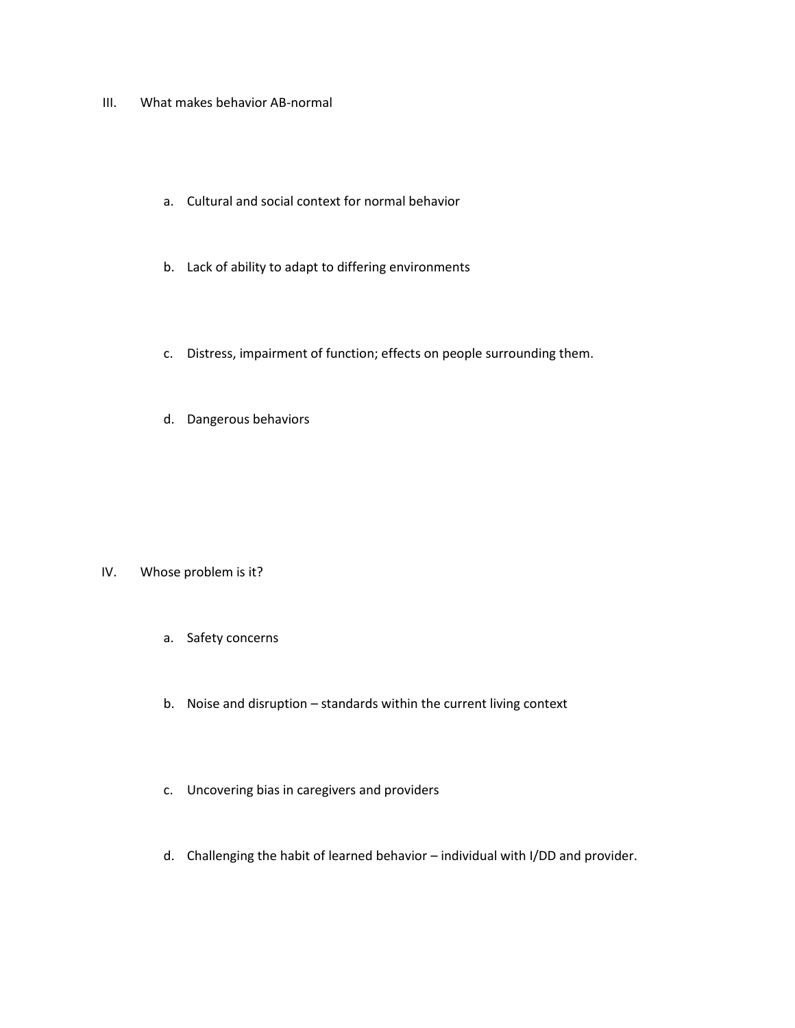- III. What makes behavior AB-normal
	- a. Cultural and social context for normal behavior
	- b. Lack of ability to adapt to differing environments
	- c. Distress, impairment of function; effects on people surrounding them.
	- d. Dangerous behaviors

- IV. Whose problem is it?
	- a. Safety concerns
	- b. Noise and disruption standards within the current living context
	- c. Uncovering bias in caregivers and providers
	- d. Challenging the habit of learned behavior individual with I/DD and provider.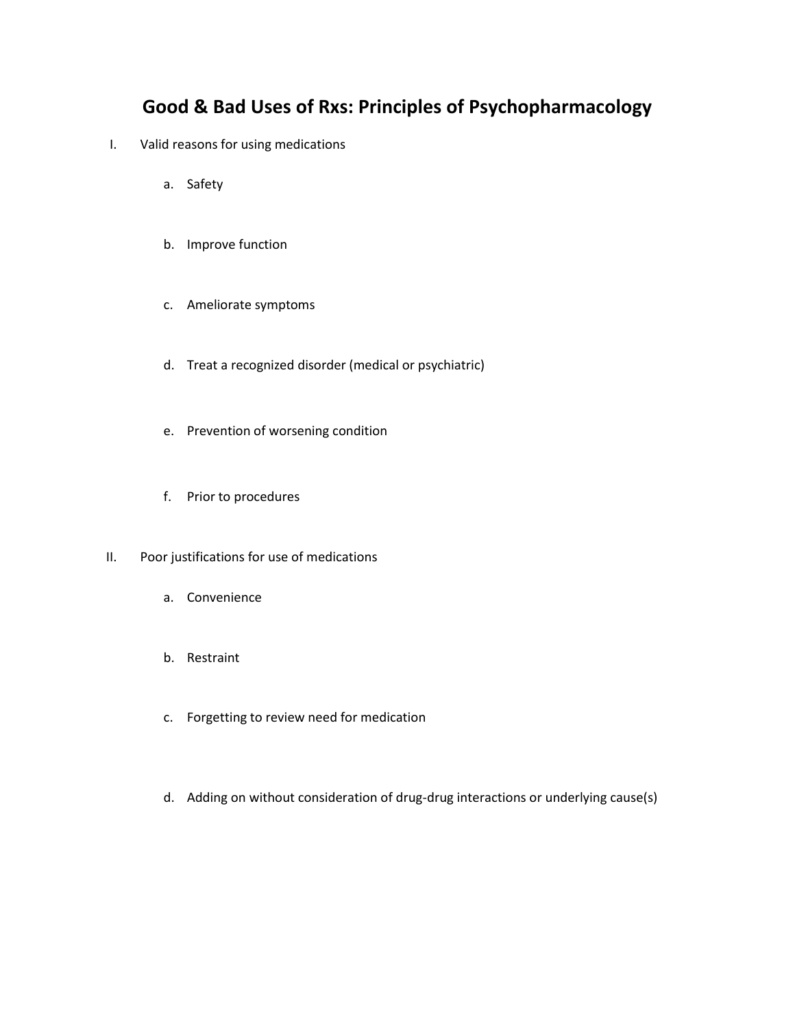### **Good & Bad Uses of Rxs: Principles of Psychopharmacology**

- I. Valid reasons for using medications
	- a. Safety
	- b. Improve function
	- c. Ameliorate symptoms
	- d. Treat a recognized disorder (medical or psychiatric)
	- e. Prevention of worsening condition
	- f. Prior to procedures
- II. Poor justifications for use of medications
	- a. Convenience
	- b. Restraint
	- c. Forgetting to review need for medication
	- d. Adding on without consideration of drug-drug interactions or underlying cause(s)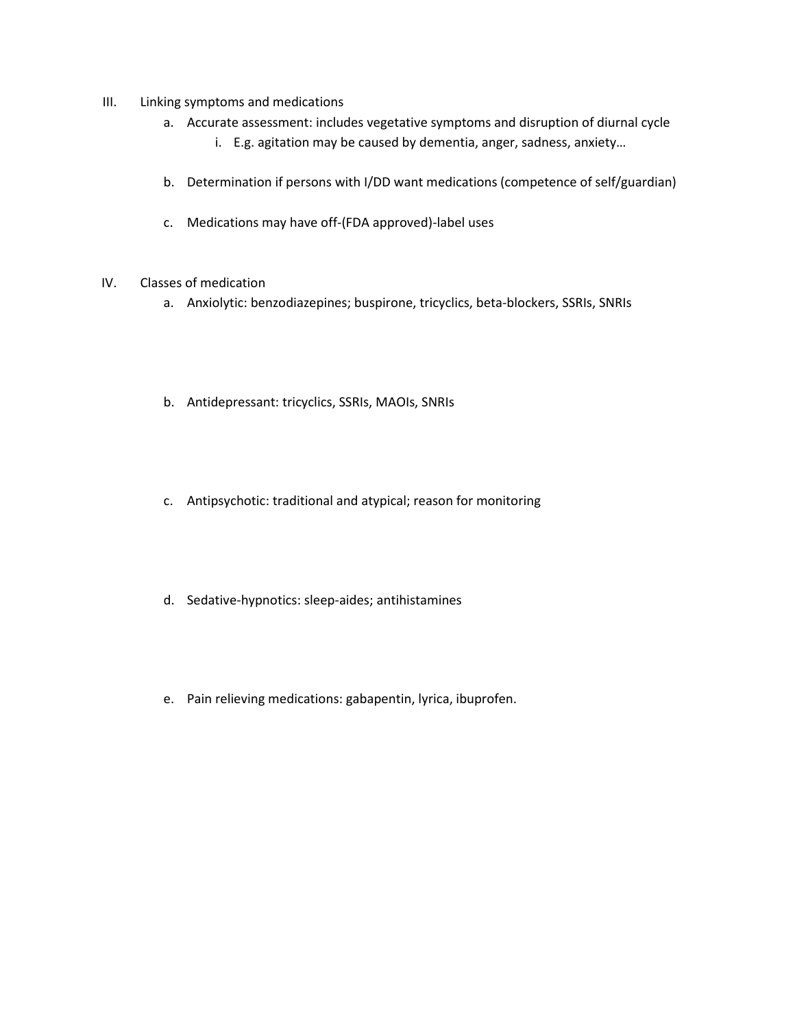- III. Linking symptoms and medications
	- a. Accurate assessment: includes vegetative symptoms and disruption of diurnal cycle
		- i. E.g. agitation may be caused by dementia, anger, sadness, anxiety…
	- b. Determination if persons with I/DD want medications (competence of self/guardian)
	- c. Medications may have off-(FDA approved)-label uses
- IV. Classes of medication
	- a. Anxiolytic: benzodiazepines; buspirone, tricyclics, beta-blockers, SSRIs, SNRIs
	- b. Antidepressant: tricyclics, SSRIs, MAOIs, SNRIs
	- c. Antipsychotic: traditional and atypical; reason for monitoring
	- d. Sedative-hypnotics: sleep-aides; antihistamines
	- e. Pain relieving medications: gabapentin, lyrica, ibuprofen.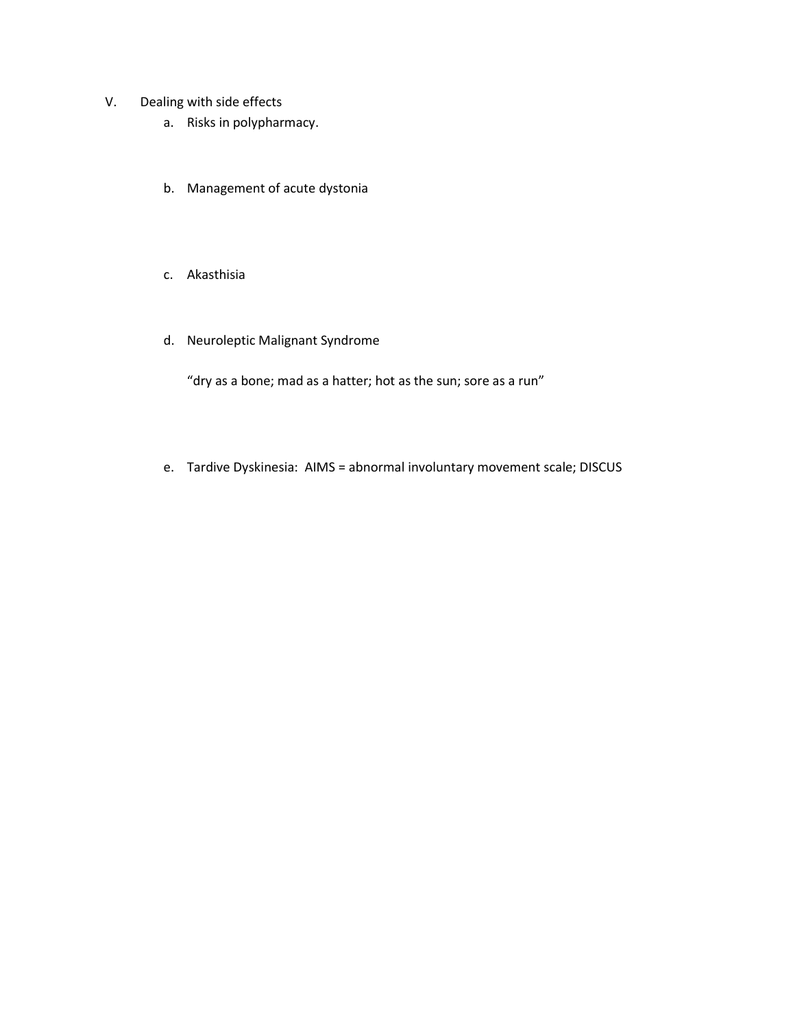- V. Dealing with side effects
	- a. Risks in polypharmacy.
	- b. Management of acute dystonia
	- c. Akasthisia
	- d. Neuroleptic Malignant Syndrome

"dry as a bone; mad as a hatter; hot as the sun; sore as a run"

e. Tardive Dyskinesia: AIMS = abnormal involuntary movement scale; DISCUS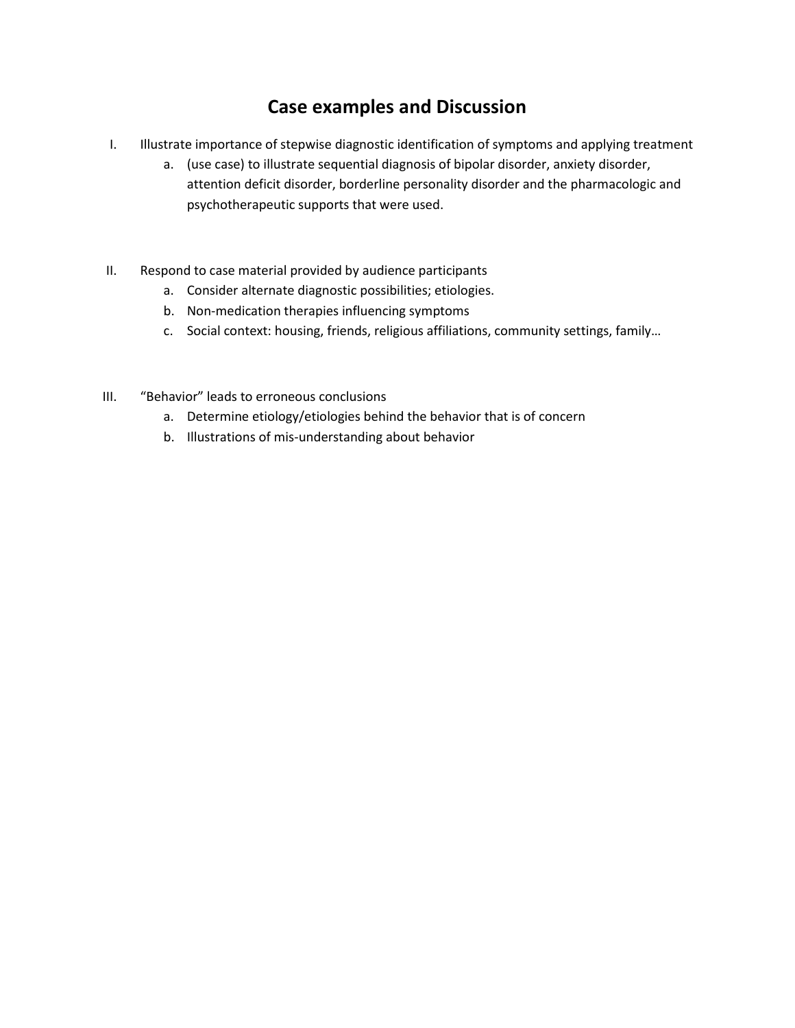## **Case examples and Discussion**

- I. Illustrate importance of stepwise diagnostic identification of symptoms and applying treatment
	- a. (use case) to illustrate sequential diagnosis of bipolar disorder, anxiety disorder, attention deficit disorder, borderline personality disorder and the pharmacologic and psychotherapeutic supports that were used.
- II. Respond to case material provided by audience participants
	- a. Consider alternate diagnostic possibilities; etiologies.
	- b. Non-medication therapies influencing symptoms
	- c. Social context: housing, friends, religious affiliations, community settings, family…
- III. "Behavior" leads to erroneous conclusions
	- a. Determine etiology/etiologies behind the behavior that is of concern
	- b. Illustrations of mis-understanding about behavior